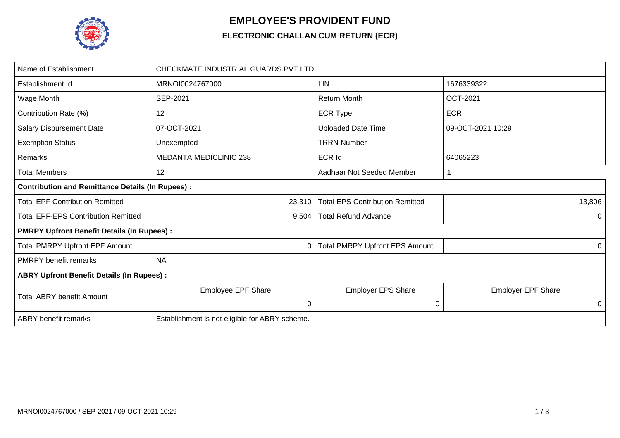

## **EMPLOYEE'S PROVIDENT FUND**

## **ELECTRONIC CHALLAN CUM RETURN (ECR)**

| Name of Establishment                                   | CHECKMATE INDUSTRIAL GUARDS PVT LTD            |                                        |                           |  |  |  |
|---------------------------------------------------------|------------------------------------------------|----------------------------------------|---------------------------|--|--|--|
| Establishment Id                                        | MRNOI0024767000                                | <b>LIN</b>                             | 1676339322                |  |  |  |
| Wage Month                                              | SEP-2021                                       | <b>Return Month</b>                    | <b>OCT-2021</b>           |  |  |  |
| Contribution Rate (%)                                   | 12                                             | <b>ECR Type</b>                        | <b>ECR</b>                |  |  |  |
| <b>Salary Disbursement Date</b>                         | 07-OCT-2021                                    | <b>Uploaded Date Time</b>              | 09-OCT-2021 10:29         |  |  |  |
| <b>Exemption Status</b>                                 | Unexempted                                     | <b>TRRN Number</b>                     |                           |  |  |  |
| Remarks                                                 | <b>MEDANTA MEDICLINIC 238</b>                  | <b>ECR Id</b>                          | 64065223                  |  |  |  |
| <b>Total Members</b>                                    | 12                                             | Aadhaar Not Seeded Member              |                           |  |  |  |
| <b>Contribution and Remittance Details (In Rupees):</b> |                                                |                                        |                           |  |  |  |
| <b>Total EPF Contribution Remitted</b>                  | 23,310                                         | <b>Total EPS Contribution Remitted</b> | 13,806                    |  |  |  |
| <b>Total EPF-EPS Contribution Remitted</b>              | 9,504                                          | <b>Total Refund Advance</b>            | 0                         |  |  |  |
| <b>PMRPY Upfront Benefit Details (In Rupees):</b>       |                                                |                                        |                           |  |  |  |
| <b>Total PMRPY Upfront EPF Amount</b>                   | 0                                              | <b>Total PMRPY Upfront EPS Amount</b>  | 0                         |  |  |  |
| <b>PMRPY</b> benefit remarks                            | <b>NA</b>                                      |                                        |                           |  |  |  |
| <b>ABRY Upfront Benefit Details (In Rupees):</b>        |                                                |                                        |                           |  |  |  |
| <b>Total ABRY benefit Amount</b>                        | <b>Employee EPF Share</b>                      | Employer EPS Share                     | <b>Employer EPF Share</b> |  |  |  |
|                                                         | $\mathbf 0$                                    | $\mathbf 0$                            | 0                         |  |  |  |
| <b>ABRY</b> benefit remarks                             | Establishment is not eligible for ABRY scheme. |                                        |                           |  |  |  |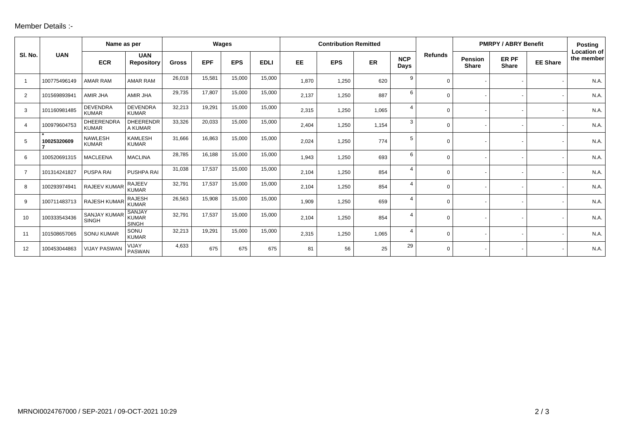## Member Details :-

|                |              | Name as per                         |                                        | Wages        |            |            | <b>Contribution Remitted</b> |           |            |       | <b>PMRPY / ABRY Benefit</b> |                |                                | <b>Posting</b>               |                 |                                  |
|----------------|--------------|-------------------------------------|----------------------------------------|--------------|------------|------------|------------------------------|-----------|------------|-------|-----------------------------|----------------|--------------------------------|------------------------------|-----------------|----------------------------------|
| SI. No.        | <b>UAN</b>   | <b>ECR</b>                          | <b>UAN</b><br><b>Repository</b>        | <b>Gross</b> | <b>EPF</b> | <b>EPS</b> | <b>EDLI</b>                  | <b>EE</b> | <b>EPS</b> | ER    | <b>NCP</b><br>Days          | <b>Refunds</b> | <b>Pension</b><br><b>Share</b> | <b>ER PF</b><br><b>Share</b> | <b>EE Share</b> | <b>Location of</b><br>the member |
| $\overline{1}$ | 100775496149 | <b>AMAR RAM</b>                     | <b>AMAR RAM</b>                        | 26,018       | 15,581     | 15,000     | 15,000                       | 1,870     | 1,250      | 620   | 9                           | $\Omega$       |                                |                              |                 | N.A.                             |
| $\overline{2}$ | 101569893941 | AMIR JHA                            | AMIR JHA                               | 29,735       | 17,807     | 15,000     | 15,000                       | 2,137     | 1,250      | 887   | 6                           | 0              |                                |                              |                 | N.A.                             |
| 3              | 101160981485 | <b>DEVENDRA</b><br><b>KUMAR</b>     | <b>DEVENDRA</b><br><b>KUMAR</b>        | 32,213       | 19,291     | 15,000     | 15,000                       | 2,315     | 1,250      | 1,065 | 4                           | $\Omega$       |                                |                              |                 | N.A.                             |
| $\overline{4}$ | 100979604753 | <b>DHEERENDRA</b><br><b>KUMAR</b>   | <b>DHEERENDR</b><br>A KUMAR            | 33,326       | 20,033     | 15,000     | 15,000                       | 2,404     | 1,250      | 1,154 | 3                           | 0              |                                |                              |                 | N.A.                             |
| 5              | 10025320609  | <b>NAWLESH</b><br><b>KUMAR</b>      | <b>KAMLESH</b><br><b>KUMAR</b>         | 31,666       | 16,863     | 15,000     | 15,000                       | 2,024     | 1,250      | 774   | 5                           | $\Omega$       |                                |                              |                 | N.A.                             |
| 6              | 100520691315 | <b>MACLEENA</b>                     | <b>MACLINA</b>                         | 28,785       | 16,188     | 15,000     | 15,000                       | 1,943     | 1,250      | 693   | 6                           | 0              |                                |                              |                 | N.A.                             |
| $\overline{7}$ | 101314241827 | PUSPA RAI                           | PUSHPA RAI                             | 31,038       | 17,537     | 15,000     | 15,000                       | 2,104     | 1,250      | 854   | $\overline{4}$              | $\Omega$       |                                |                              |                 | N.A.                             |
| 8              | 100293974941 | RAJEEV KUMAR                        | <b>RAJEEV</b><br><b>KUMAR</b>          | 32,791       | 17,537     | 15,000     | 15,000                       | 2,104     | 1,250      | 854   | $\overline{4}$              | $\Omega$       |                                |                              |                 | N.A.                             |
| 9              | 100711483713 | <b>RAJESH KUMAR</b>                 | <b>RAJESH</b><br><b>KUMAR</b>          | 26,563       | 15,908     | 15,000     | 15,000                       | 1,909     | 1,250      | 659   | $\overline{4}$              | $\Omega$       |                                |                              |                 | N.A.                             |
| 10             | 100333543436 | <b>SANJAY KUMAR</b><br><b>SINGH</b> | SANJAY<br><b>KUMAR</b><br><b>SINGH</b> | 32,791       | 17,537     | 15,000     | 15,000                       | 2,104     | 1,250      | 854   | 4                           | 0              |                                |                              |                 | N.A.                             |
| 11             | 101508657065 | <b>SONU KUMAR</b>                   | SONU<br><b>KUMAR</b>                   | 32,213       | 19,291     | 15,000     | 15,000                       | 2,315     | 1,250      | 1,065 | 4                           | $\Omega$       |                                |                              |                 | N.A.                             |
| 12             | 100453044863 | <b>VIJAY PASWAN</b>                 | VIJAY<br><b>PASWAN</b>                 | 4,633        | 675        | 675        | 675                          | 81        | 56         | 25    | 29                          | $\Omega$       |                                |                              |                 | N.A.                             |